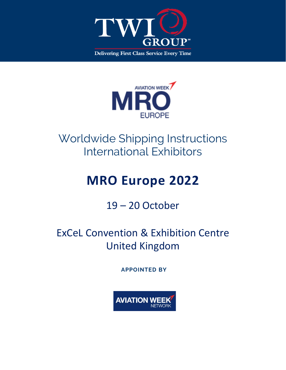



## Worldwide Shipping Instructions International Exhibitors

# **MRO Europe 2022**

### 19 – 20 October

## ExCeL Convention & Exhibition Centre United Kingdom

**APPOINTED BY** 

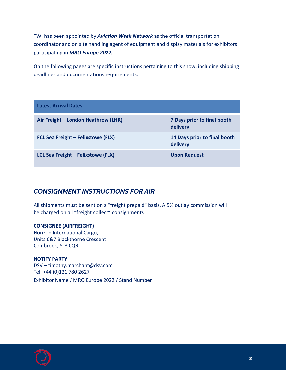TWI has been appointed by *Aviation Week Network* as the official transportation coordinator and on site handling agent of equipment and display materials for exhibitors participating in *MRO Europe 2022.*

On the following pages are specific instructions pertaining to this show, including shipping deadlines and documentations requirements.

| <b>Latest Arrival Dates</b>         |                                          |
|-------------------------------------|------------------------------------------|
| Air Freight - London Heathrow (LHR) | 7 Days prior to final booth<br>delivery  |
| FCL Sea Freight - Felixstowe (FLX)  | 14 Days prior to final booth<br>delivery |
| LCL Sea Freight - Felixstowe (FLX)  | <b>Upon Request</b>                      |

#### *CONSIGNMENT INSTRUCTIONS FOR AIR*

All shipments must be sent on a "freight prepaid" basis. A 5% outlay commission will be charged on all "freight collect" consignments

#### **CONSIGNEE (AIRFREIGHT)**

Horizon International Cargo, Units 6&7 Blackthorne Crescent Colnbrook, SL3 0QR

**NOTIFY PARTY**  DSV – timothy.marchant@dsv.com Tel: +44 (0)121 780 2627 Exhibitor Name / MRO Europe 2022 / Stand Number

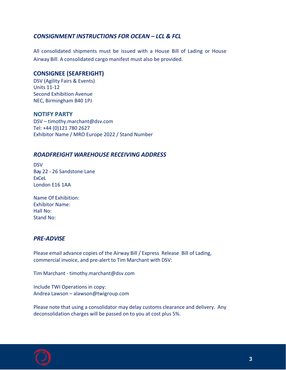#### *CONSIGNMENT INSTRUCTIONS FOR OCEAN – LCL & FCL*

All consolidated shipments must be issued with a House Bill of Lading or House Airway Bill. A consolidated cargo manifest must also be provided.

#### **CONSIGNEE (SEAFREIGHT)**

DSV (Agility Fairs & Events) Units 11-12 Second Exhibition Avenue NEC, Birmingham B40 1PJ

#### **NOTIFY PARTY**

DSV – timothy.marchant@dsv.com Tel: +44 (0)121 780 2627 Exhibitor Name / MRO Europe 2022 / Stand Number

#### *ROADFREIGHT WAREHOUSE RECEIVING ADDRESS*

DSV Bay 22 - 26 Sandstone Lane ExCeL London E16 1AA

Name Of Exhibition: Exhibitor Name: Hall No: Stand No:

#### *PRE-ADVISE*

Please email advance copies of the Airway Bill / Express Release Bill of Lading, commercial invoice, and pre-alert to Tim Marchant with DSV:

Tim Marchant - timothy.marchant@dsv.com

Include TWI Operations in copy: A[ndrea Lawson – alawson@t](mailto:MDawson@Agility.com)wigroup.c[om](mailto:ExcelFairs@Agility.com) 

Please note that using a consolidator may delay customs clearance and delivery. Any deconsolidation charges will be passed on to you at cost plus 5%.

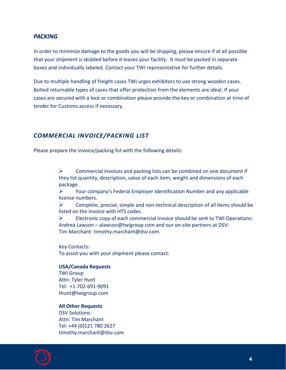#### *PACKING*

In order to minimize damage to the goods you will be shipping, please ensure if at all possible that your shipment is skidded before it leaves your facility. It must be packed in separate boxes and individually labeled. Contact your TWI representative for further details.

Due to multiple handling of freight cases TWI urges exhibitors to use strong wooden cases. Bolted returnable types of cases that offer protection from the elements are ideal. If your cases are secured with a lock or combination please provide the key or combination at time of tender for Customs access if necessary.

#### *COMMERCIAL INVOICE/PACKING LIST*

Please prepare the invoice/packing list with the following details:

 $\triangleright$  Commercial invoices and packing lists can be combined on one document if they list quantity, description, value of each item, weight and dimensions of each package.

 $\triangleright$  Your company's Federal Employer Identification Number and any applicable license numbers.

 $\triangleright$  Complete, precise, simple and non-technical description of all items should be listed on the invoice with HTS codes.

 $\triangleright$  Electronic copy of each commercial invoice should be sent to TWI Operations: Andrea Lawson – alawson@twigroup.com and our on-site partners at DSV: Tim Marchant- timothy.marchant@dsv.com.

Key Contacts: To as[sist you with your shipmen](mailto:MDawson@Agility.com)t please c[ontact:](mailto:ExcelFairs@Agility.com) 

#### **USA/Canada Requests**

TWI Group Attn: Tyler Hunt Tel: +1-702-691-9091 thunt@twigroup.com

#### **All Other Requests**

DSV Solutions Attn: Tim Marchant Tel: +44 (0)121 780 2627 timothy.marchant@dsv.com

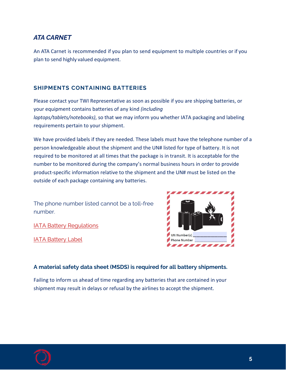#### *ATA CARNET*

An ATA Carnet is recommended if you plan to send equipment to multiple countries or if you plan to send highly valued equipment.

#### **SHIPMENTS CONTAINING BATTERIES**

Please contact your TWI Representative as soon as possible if you are shipping batteries, or your equipment contains batteries of any kind *(including laptops/tablets/notebooks)*, so that we may inform you whether IATA packaging and labeling requirements pertain to your shipment.

We have provided labels if they are needed. These labels must have the telephone number of a person knowledgeable about the shipment and the UN# listed for type of battery. It is not required to be monitored at all times that the package is in transit. It is acceptable for the number to be monitored during the company's normal business hours in order to provide product-specific information relative to the shipment and the UN# must be listed on the outside of each package containing any batteries.

The phone number listed cannot be a toll-free number.

**[IATA Battery Regulations](https://www.twigroup.com/login.html)** 

[IATA Battery Label](https://www.twigroup.com/login.html) 



#### **A material safety data sheet (MSDS) is required for all battery shipments.**

Failing to inform us ahead of time regarding any batteries that are contained in your shipment may result in delays or refusal by the airlines to accept the shipment.

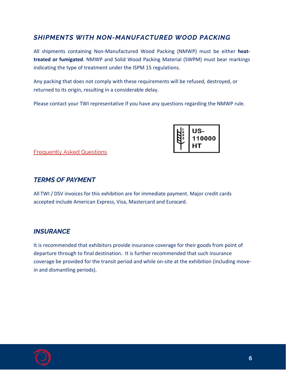### *SHIPMENTS WITH NON-MANUFACTURED WOOD PACKING*

All shipments containing Non-Manufactured Wood Packing (NMWP) must be either **heattreated or fumigated**. NMWP and Solid Wood Packing Material (SWPM) must bear markings indicating the type of treatment under the ISPM 15 regulations.

Any packing that does not comply with these requirements will be refused, destroyed, or returned to its origin, resulting in a considerable delay.

Please contact your TWI representative if you have any questions regarding the NMWP rule.

|  | US-<br>110000<br>нı |
|--|---------------------|
|--|---------------------|

[Frequently Asked Questions](https://www.aphis.usda.gov/wps/wcm/connect/aphis_content_library/sa_our_focus/sa_plant_health/sa_export/sa_wood_packaging/ct_wpm_faqs) 

#### *TERMS OF PAYMENT*

All TWI / DSV invoices for this exhibition are for immediate payment. Major credit cards accepted include American Express, Visa, Mastercard and Eurocard.

#### *INSURANCE*

It is recommended that exhibitors provide insurance coverage for their goods from point of departure through to final destination. It is further recommended that such insurance coverage be provided for the transit period and while on-site at the exhibition (including movein and dismantling periods).